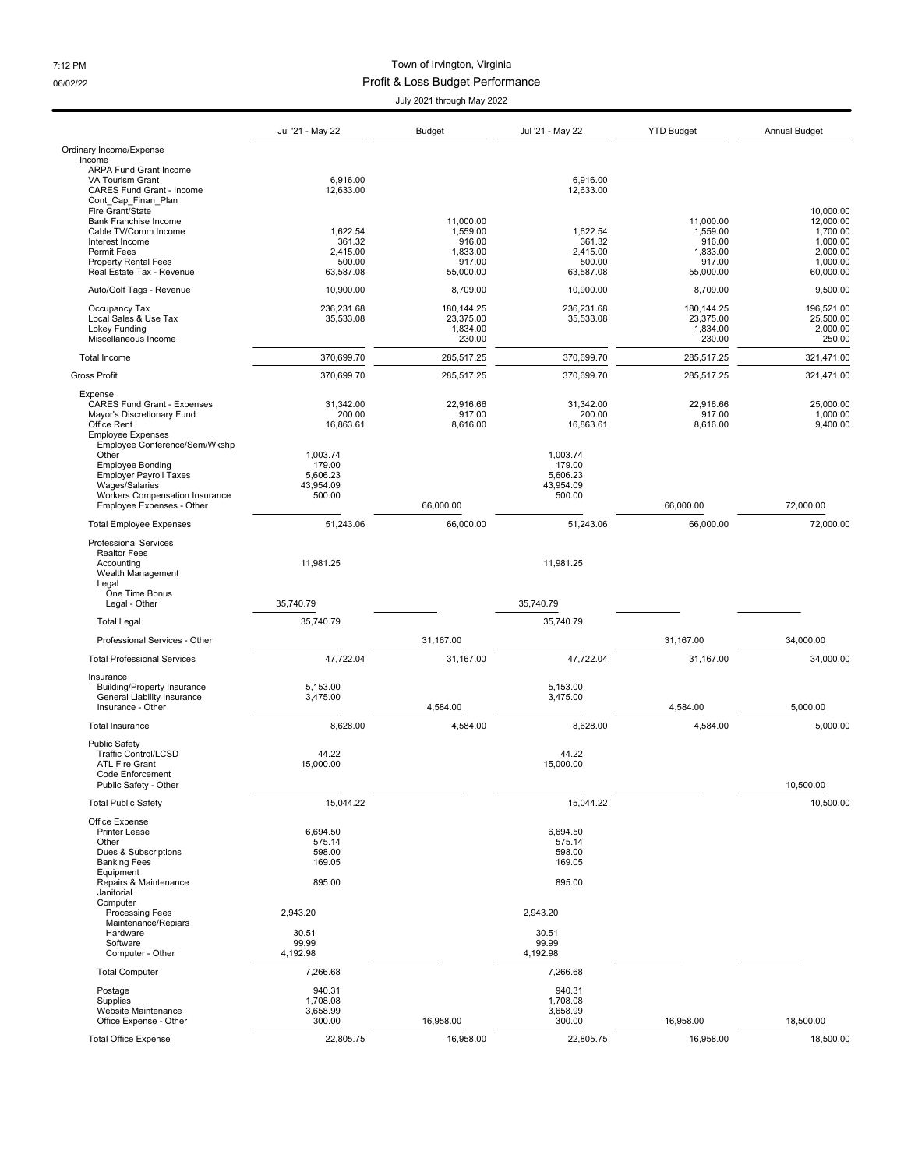## 7:12 PM Town of Irvington, Virginia 06/02/22 06/02/22 Profit & Loss Budget Performance

July 2021 through May 2022

|                                                                                                                                                         | UUIY LUL I UIIUUYII IVIUY LULL                        |                                                       |                                                       |                                                       |                                                                        |  |  |
|---------------------------------------------------------------------------------------------------------------------------------------------------------|-------------------------------------------------------|-------------------------------------------------------|-------------------------------------------------------|-------------------------------------------------------|------------------------------------------------------------------------|--|--|
|                                                                                                                                                         | Jul '21 - May 22                                      | <b>Budget</b>                                         | Jul '21 - May 22                                      | <b>YTD Budget</b>                                     | <b>Annual Budget</b>                                                   |  |  |
| Ordinary Income/Expense                                                                                                                                 |                                                       |                                                       |                                                       |                                                       |                                                                        |  |  |
| Income<br><b>ARPA Fund Grant Income</b><br>VA Tourism Grant<br><b>CARES Fund Grant - Income</b><br>Cont Cap Finan Plan                                  | 6,916.00<br>12,633.00                                 |                                                       | 6,916.00<br>12,633.00                                 |                                                       |                                                                        |  |  |
| Fire Grant/State<br><b>Bank Franchise Income</b><br>Cable TV/Comm Income<br>Interest Income<br>Permit Fees<br>Property Rental Fees                      | 1,622.54<br>361.32<br>2,415.00<br>500.00              | 11,000.00<br>1,559.00<br>916.00<br>1,833.00<br>917.00 | 1,622.54<br>361.32<br>2,415.00<br>500.00              | 11,000.00<br>1,559.00<br>916.00<br>1,833.00<br>917.00 | 10,000.00<br>12,000.00<br>1,700.00<br>1,000.00<br>2,000.00<br>1,000.00 |  |  |
| Real Estate Tax - Revenue                                                                                                                               | 63,587.08                                             | 55,000.00                                             | 63,587.08                                             | 55,000.00                                             | 60,000.00                                                              |  |  |
| Auto/Golf Tags - Revenue                                                                                                                                | 10,900.00                                             | 8,709.00                                              | 10,900.00                                             | 8,709.00                                              | 9,500.00                                                               |  |  |
| Occupancy Tax<br>Local Sales & Use Tax<br><b>Lokey Funding</b><br>Miscellaneous Income                                                                  | 236,231.68<br>35,533.08                               | 180, 144. 25<br>23,375.00<br>1,834.00<br>230.00       | 236,231.68<br>35,533.08                               | 180, 144. 25<br>23,375.00<br>1,834.00<br>230.00       | 196.521.00<br>25,500.00<br>2,000.00<br>250.00                          |  |  |
| Total Income                                                                                                                                            | 370,699.70                                            | 285,517.25                                            | 370,699.70                                            | 285,517.25                                            | 321,471.00                                                             |  |  |
| <b>Gross Profit</b>                                                                                                                                     | 370,699.70                                            | 285,517.25                                            | 370,699.70                                            | 285,517.25                                            | 321,471.00                                                             |  |  |
| Expense<br><b>CARES Fund Grant - Expenses</b><br>Mayor's Discretionary Fund<br>Office Rent<br><b>Employee Expenses</b><br>Employee Conference/Sem/Wkshp | 31,342.00<br>200.00<br>16,863.61                      | 22,916.66<br>917.00<br>8,616.00                       | 31,342.00<br>200.00<br>16,863.61                      | 22,916.66<br>917.00<br>8,616.00                       | 25,000.00<br>1,000.00<br>9,400.00                                      |  |  |
| Other<br><b>Employee Bonding</b><br><b>Employer Payroll Taxes</b><br>Wages/Salaries<br>Workers Compensation Insurance<br>Employee Expenses - Other      | 1,003.74<br>179.00<br>5,606.23<br>43,954.09<br>500.00 | 66.000.00                                             | 1,003.74<br>179.00<br>5,606.23<br>43,954.09<br>500.00 | 66,000.00                                             | 72,000.00                                                              |  |  |
| <b>Total Employee Expenses</b>                                                                                                                          | 51,243.06                                             | 66,000.00                                             | 51,243.06                                             | 66,000.00                                             | 72,000.00                                                              |  |  |
| <b>Professional Services</b><br><b>Realtor Fees</b><br>Accounting<br>Wealth Management<br>Legal<br>One Time Bonus<br>Legal - Other                      | 11,981.25<br>35,740.79                                |                                                       | 11,981.25<br>35,740.79                                |                                                       |                                                                        |  |  |
| <b>Total Legal</b>                                                                                                                                      | 35,740.79                                             |                                                       | 35,740.79                                             |                                                       |                                                                        |  |  |
| Professional Services - Other                                                                                                                           |                                                       | 31,167.00                                             |                                                       | 31,167.00                                             | 34,000.00                                                              |  |  |
| <b>Total Professional Services</b>                                                                                                                      | 47,722.04                                             | 31,167.00                                             | 47,722.04                                             | 31,167.00                                             | 34,000.00                                                              |  |  |
| Insurance<br><b>Building/Property Insurance</b><br>General Liability Insurance<br>Insurance - Other                                                     | 5,153.00<br>3,475.00                                  | 4,584.00                                              | 5,153.00<br>3,475.00                                  | 4,584.00                                              | 5,000.00                                                               |  |  |
| <b>Total Insurance</b>                                                                                                                                  | 8,628.00                                              | 4,584.00                                              | 8,628.00                                              | 4,584.00                                              | 5,000.00                                                               |  |  |
| <b>Public Safety</b><br><b>Traffic Control/LCSD</b><br><b>ATL Fire Grant</b><br>Code Enforcement<br>Public Safety - Other                               | 44.22<br>15,000.00                                    |                                                       | 44.22<br>15,000.00                                    |                                                       | 10.500.00                                                              |  |  |
| <b>Total Public Safety</b>                                                                                                                              | 15,044.22                                             |                                                       | 15.044.22                                             |                                                       | 10,500.00                                                              |  |  |
| Office Expense<br><b>Printer Lease</b><br>Other<br>Dues & Subscriptions<br><b>Banking Fees</b><br>Equipment                                             | 6,694.50<br>575.14<br>598.00<br>169.05                |                                                       | 6,694.50<br>575.14<br>598.00<br>169.05                |                                                       |                                                                        |  |  |
| Repairs & Maintenance<br>Janitorial<br>Computer                                                                                                         | 895.00                                                |                                                       | 895.00                                                |                                                       |                                                                        |  |  |
| Processing Fees<br>Maintenance/Repiars                                                                                                                  | 2,943.20                                              |                                                       | 2,943.20                                              |                                                       |                                                                        |  |  |
| Hardware<br>Software<br>Computer - Other                                                                                                                | 30.51<br>99.99<br>4,192.98                            |                                                       | 30.51<br>99.99<br>4,192.98                            |                                                       |                                                                        |  |  |
| <b>Total Computer</b>                                                                                                                                   | 7,266.68                                              |                                                       | 7,266.68                                              |                                                       |                                                                        |  |  |
| Postage<br>Supplies<br>Website Maintenance<br>Office Expense - Other                                                                                    | 940.31<br>1,708.08<br>3,658.99<br>300.00              | 16,958.00                                             | 940.31<br>1,708.08<br>3,658.99<br>300.00              | 16,958.00                                             | 18,500.00                                                              |  |  |
| <b>Total Office Expense</b>                                                                                                                             | 22,805.75                                             | 16,958.00                                             | 22,805.75                                             | 16,958.00                                             | 18,500.00                                                              |  |  |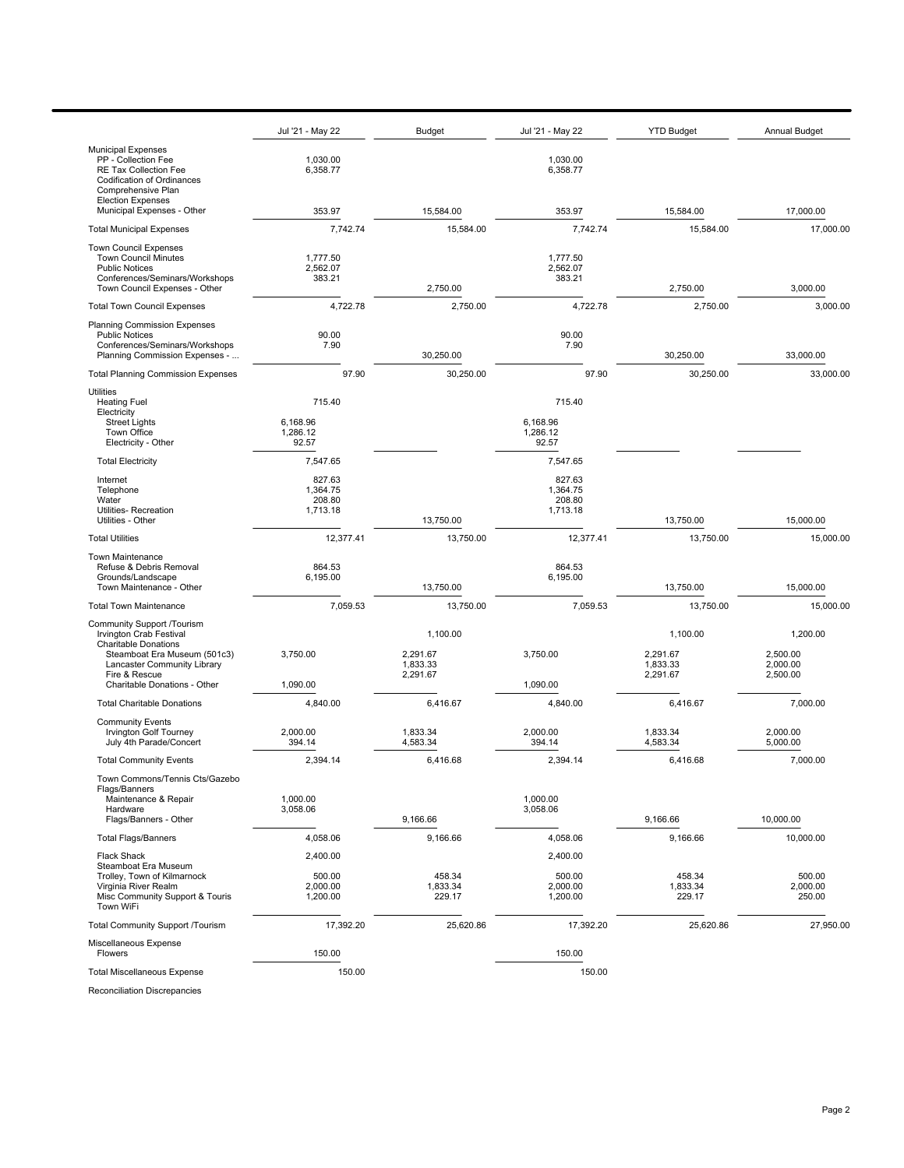|                                                                                                                                                                                                             | Jul '21 - May 22                           | <b>Budget</b>                                | Jul '21 - May 22                           | <b>YTD Budget</b>                            | <b>Annual Budget</b>                         |
|-------------------------------------------------------------------------------------------------------------------------------------------------------------------------------------------------------------|--------------------------------------------|----------------------------------------------|--------------------------------------------|----------------------------------------------|----------------------------------------------|
| <b>Municipal Expenses</b><br>PP - Collection Fee<br><b>RE Tax Collection Fee</b><br>Codification of Ordinances<br>Comprehensive Plan                                                                        | 1,030.00<br>6,358.77                       |                                              | 1,030.00<br>6,358.77                       |                                              |                                              |
| <b>Election Expenses</b><br>Municipal Expenses - Other                                                                                                                                                      | 353.97                                     | 15.584.00                                    | 353.97                                     | 15,584.00                                    | 17,000.00                                    |
| <b>Total Municipal Expenses</b>                                                                                                                                                                             | 7,742.74                                   | 15,584.00                                    | 7,742.74                                   | 15,584.00                                    | 17,000.00                                    |
| <b>Town Council Expenses</b><br><b>Town Council Minutes</b><br><b>Public Notices</b><br>Conferences/Seminars/Workshops<br>Town Council Expenses - Other                                                     | 1,777.50<br>2,562.07<br>383.21             | 2,750.00                                     | 1,777.50<br>2,562.07<br>383.21             | 2,750.00                                     | 3,000.00                                     |
| <b>Total Town Council Expenses</b>                                                                                                                                                                          | 4,722.78                                   | 2,750.00                                     | 4,722.78                                   | 2,750.00                                     | 3,000.00                                     |
| <b>Planning Commission Expenses</b><br><b>Public Notices</b><br>Conferences/Seminars/Workshops<br>Planning Commission Expenses -                                                                            | 90.00<br>7.90                              | 30,250.00                                    | 90.00<br>7.90                              | 30,250.00                                    | 33,000.00                                    |
| <b>Total Planning Commission Expenses</b>                                                                                                                                                                   | 97.90                                      | 30,250.00                                    | 97.90                                      | 30,250.00                                    | 33,000.00                                    |
| Utilities<br><b>Heating Fuel</b><br>Electricity<br><b>Street Lights</b><br>Town Office<br>Electricity - Other                                                                                               | 715.40<br>6,168.96<br>1,286.12<br>92.57    |                                              | 715.40<br>6,168.96<br>1,286.12<br>92.57    |                                              |                                              |
| <b>Total Electricity</b>                                                                                                                                                                                    | 7,547.65                                   |                                              | 7,547.65                                   |                                              |                                              |
| Internet<br>Telephone<br>Water<br>Utilities-Recreation<br>Utilities - Other                                                                                                                                 | 827.63<br>1,364.75<br>208.80<br>1,713.18   | 13,750.00                                    | 827.63<br>1,364.75<br>208.80<br>1,713.18   | 13,750.00                                    | 15,000.00                                    |
| <b>Total Utilities</b>                                                                                                                                                                                      | 12,377.41                                  | 13,750.00                                    | 12,377.41                                  | 13,750.00                                    | 15,000.00                                    |
| <b>Town Maintenance</b><br>Refuse & Debris Removal<br>Grounds/Landscape<br>Town Maintenance - Other                                                                                                         | 864.53<br>6,195.00                         | 13,750.00                                    | 864.53<br>6,195.00                         | 13,750.00                                    | 15,000.00                                    |
| <b>Total Town Maintenance</b>                                                                                                                                                                               | 7,059.53                                   | 13,750.00                                    | 7,059.53                                   | 13,750.00                                    | 15,000.00                                    |
| Community Support /Tourism<br><b>Irvington Crab Festival</b><br><b>Charitable Donations</b><br>Steamboat Era Museum (501c3)<br>Lancaster Community Library<br>Fire & Rescue<br>Charitable Donations - Other | 3,750.00<br>1,090.00                       | 1,100.00<br>2,291.67<br>1,833.33<br>2,291.67 | 3,750.00<br>1.090.00                       | 1,100.00<br>2,291.67<br>1,833.33<br>2,291.67 | 1,200.00<br>2,500.00<br>2,000.00<br>2,500.00 |
| <b>Total Charitable Donations</b>                                                                                                                                                                           | 4.840.00                                   | 6,416.67                                     | 4,840.00                                   | 6,416.67                                     | 7,000.00                                     |
| <b>Community Events</b><br>Irvington Golf Tourney<br>July 4th Parade/Concert                                                                                                                                | 2,000.00<br>394.14                         | 1,833.34<br>4,583.34                         | 2,000.00<br>394.14                         | 1,833.34<br>4,583.34                         | 2,000.00<br>5,000.00                         |
| <b>Total Community Events</b>                                                                                                                                                                               | 2,394.14                                   | 6,416.68                                     | 2,394.14                                   | 6,416.68                                     | 7,000.00                                     |
| Town Commons/Tennis Cts/Gazebo<br>Flags/Banners<br>Maintenance & Repair<br>Hardware<br>Flags/Banners - Other                                                                                                | 1.000.00<br>3,058.06                       | 9,166.66                                     | 1,000.00<br>3,058.06                       | 9,166.66                                     | 10,000.00                                    |
| <b>Total Flags/Banners</b>                                                                                                                                                                                  | 4,058.06                                   | 9,166.66                                     | 4,058.06                                   | 9,166.66                                     | 10,000.00                                    |
| Flack Shack<br>Steamboat Era Museum<br>Trolley, Town of Kilmarnock<br>Virginia River Realm<br>Misc Community Support & Touris<br>Town WiFi                                                                  | 2,400.00<br>500.00<br>2,000.00<br>1,200.00 | 458.34<br>1,833.34<br>229.17                 | 2,400.00<br>500.00<br>2,000.00<br>1,200.00 | 458.34<br>1,833.34<br>229.17                 | 500.00<br>2,000.00<br>250.00                 |
| <b>Total Community Support /Tourism</b>                                                                                                                                                                     | 17,392.20                                  | 25,620.86                                    | 17,392.20                                  | 25,620.86                                    | 27,950.00                                    |
| Miscellaneous Expense<br>Flowers                                                                                                                                                                            | 150.00                                     |                                              | 150.00                                     |                                              |                                              |
| <b>Total Miscellaneous Expense</b>                                                                                                                                                                          | 150.00                                     |                                              | 150.00                                     |                                              |                                              |

Reconciliation Discrepancies